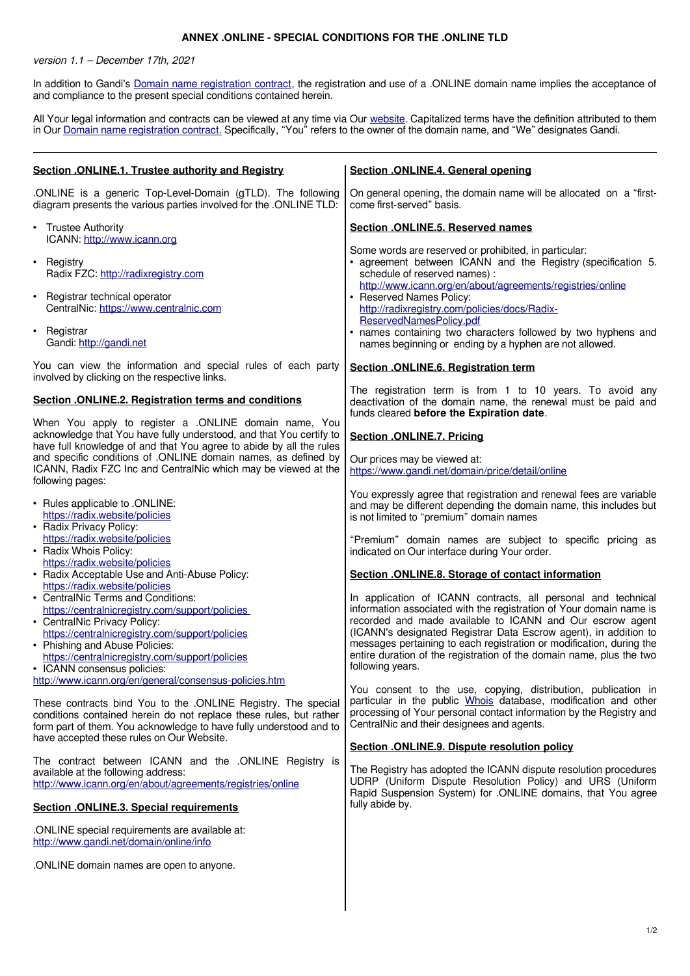## **ANNEX .ONLINE - SPECIAL CONDITIONS FOR THE .ONLINE TLD**

version 1.1 – December 17th, 2021

In addition to Gandi's [Domain name registration contract,](https://www.gandi.net/en/contracts/terms-of-service) the registration and use of a .ONLINE domain name implies the acceptance of and compliance to the present special conditions contained herein.

All Your legal information and contracts can be viewed at any time via Our website. Capitalized terms have the definition attributed to them in Our [Domain name registration contract.](https://www.gandi.net/en/contracts/terms-of-service) Specifically, "You" refers to the owner of the domain name, and "We" designates Gandi.

| Section .ONLINE.1. Trustee authority and Registry                                                                                                                                                                                                                                                                | Section .ONLINE.4. General opening                                                                                                                                                                                                                                                                                                                                                                                                        |
|------------------------------------------------------------------------------------------------------------------------------------------------------------------------------------------------------------------------------------------------------------------------------------------------------------------|-------------------------------------------------------------------------------------------------------------------------------------------------------------------------------------------------------------------------------------------------------------------------------------------------------------------------------------------------------------------------------------------------------------------------------------------|
| .ONLINE is a generic Top-Level-Domain (gTLD). The following<br>diagram presents the various parties involved for the .ONLINE TLD:                                                                                                                                                                                | On general opening, the domain name will be allocated on a "first-<br>come first-served" basis.                                                                                                                                                                                                                                                                                                                                           |
| • Trustee Authority<br>ICANN: http://www.icann.org                                                                                                                                                                                                                                                               | <b>Section .ONLINE.5. Reserved names</b>                                                                                                                                                                                                                                                                                                                                                                                                  |
| $\cdot$ Registry<br>Radix FZC: http://radixregistry.com<br>• Registrar technical operator<br>CentralNic: https://www.centralnic.com                                                                                                                                                                              | Some words are reserved or prohibited, in particular:<br>• agreement between ICANN and the Registry (specification 5.<br>schedule of reserved names) :<br>http://www.icann.org/en/about/agreements/registries/online<br>• Reserved Names Policy:<br>http://radixregistry.com/policies/docs/Radix-                                                                                                                                         |
| • Registrar<br>Gandi: http://gandi.net                                                                                                                                                                                                                                                                           | ReservedNamesPolicy.pdf<br>· names containing two characters followed by two hyphens and<br>names beginning or ending by a hyphen are not allowed.                                                                                                                                                                                                                                                                                        |
| You can view the information and special rules of each party<br>involved by clicking on the respective links.                                                                                                                                                                                                    | Section .ONLINE.6. Registration term                                                                                                                                                                                                                                                                                                                                                                                                      |
| Section .ONLINE.2. Registration terms and conditions                                                                                                                                                                                                                                                             | The registration term is from 1 to 10 years. To avoid any<br>deactivation of the domain name, the renewal must be paid and<br>funds cleared before the Expiration date.                                                                                                                                                                                                                                                                   |
| When You apply to register a .ONLINE domain name, You<br>acknowledge that You have fully understood, and that You certify to<br>have full knowledge of and that You agree to abide by all the rules                                                                                                              | Section .ONLINE.7. Pricing                                                                                                                                                                                                                                                                                                                                                                                                                |
| and specific conditions of .ONLINE domain names, as defined by<br>ICANN, Radix FZC Inc and CentralNic which may be viewed at the<br>following pages:                                                                                                                                                             | Our prices may be viewed at:<br>https://www.gandi.net/domain/price/detail/online                                                                                                                                                                                                                                                                                                                                                          |
| • Rules applicable to .ONLINE:<br>https://radix.website/policies<br>• Radix Privacy Policy:                                                                                                                                                                                                                      | You expressly agree that registration and renewal fees are variable<br>and may be different depending the domain name, this includes but<br>is not limited to "premium" domain names                                                                                                                                                                                                                                                      |
| https://radix.website/policies<br>• Radix Whois Policy:                                                                                                                                                                                                                                                          | "Premium" domain names are subject to specific pricing as<br>indicated on Our interface during Your order.                                                                                                                                                                                                                                                                                                                                |
| https://radix.website/policies<br>• Radix Acceptable Use and Anti-Abuse Policy:<br>https://radix.website/policies                                                                                                                                                                                                | Section .ONLINE.8. Storage of contact information                                                                                                                                                                                                                                                                                                                                                                                         |
| • CentralNic Terms and Conditions:<br>https://centralnicregistry.com/support/policies<br>• CentralNic Privacy Policy:<br>https://centralnicregistry.com/support/policies<br>• Phishing and Abuse Policies:<br>https://centralnicregistry.com/support/policies<br>• ICANN consensus policies:                     | In application of ICANN contracts, all personal and technical<br>information associated with the registration of Your domain name is<br>recorded and made available to ICANN and Our escrow agent<br>(ICANN's designated Registrar Data Escrow agent), in addition to<br>messages pertaining to each registration or modification, during the<br>entire duration of the registration of the domain name, plus the two<br>following years. |
| http://www.icann.org/en/general/consensus-policies.htm<br>These contracts bind You to the .ONLINE Registry. The special<br>conditions contained herein do not replace these rules, but rather<br>form part of them. You acknowledge to have fully understood and to<br>have accepted these rules on Our Website. | You consent to the use, copying, distribution, publication in<br>particular in the public Whois database, modification and other<br>processing of Your personal contact information by the Registry and<br>CentralNic and their designees and agents.                                                                                                                                                                                     |
|                                                                                                                                                                                                                                                                                                                  | Section .ONLINE.9. Dispute resolution policy                                                                                                                                                                                                                                                                                                                                                                                              |
| The contract between ICANN and the .ONLINE Registry is<br>available at the following address:<br>http://www.icann.org/en/about/agreements/registries/online                                                                                                                                                      | The Registry has adopted the ICANN dispute resolution procedures<br>UDRP (Uniform Dispute Resolution Policy) and URS (Uniform<br>Rapid Suspension System) for .ONLINE domains, that You agree                                                                                                                                                                                                                                             |
| <b>Section .ONLINE.3. Special requirements</b>                                                                                                                                                                                                                                                                   | fully abide by.                                                                                                                                                                                                                                                                                                                                                                                                                           |
| .ONLINE special requirements are available at:<br>http://www.gandi.net/domain/online/info                                                                                                                                                                                                                        |                                                                                                                                                                                                                                                                                                                                                                                                                                           |
| .ONLINE domain names are open to anyone.                                                                                                                                                                                                                                                                         |                                                                                                                                                                                                                                                                                                                                                                                                                                           |